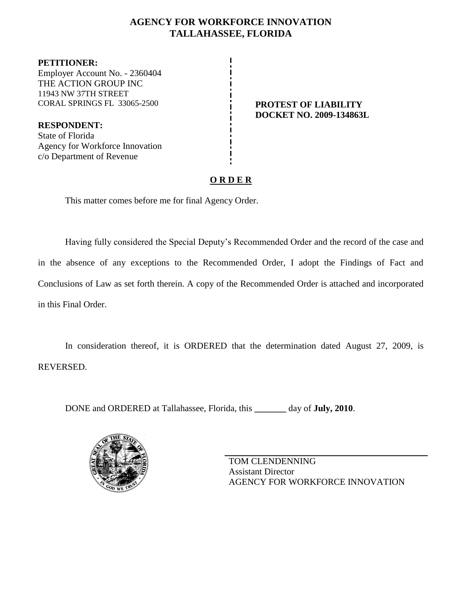# **AGENCY FOR WORKFORCE INNOVATION TALLAHASSEE, FLORIDA**

**PETITIONER:** Employer Account No. - 2360404 THE ACTION GROUP INC 11943 NW 37TH STREET CORAL SPRINGS FL 33065-2500 **PROTEST OF LIABILITY**

**RESPONDENT:** State of Florida Agency for Workforce Innovation c/o Department of Revenue

**DOCKET NO. 2009-134863L**

# **O R D E R**

This matter comes before me for final Agency Order.

Having fully considered the Special Deputy's Recommended Order and the record of the case and in the absence of any exceptions to the Recommended Order, I adopt the Findings of Fact and Conclusions of Law as set forth therein. A copy of the Recommended Order is attached and incorporated in this Final Order.

In consideration thereof, it is ORDERED that the determination dated August 27, 2009, is REVERSED.

DONE and ORDERED at Tallahassee, Florida, this **\_\_\_\_\_\_\_** day of **July, 2010**.



TOM CLENDENNING Assistant Director AGENCY FOR WORKFORCE INNOVATION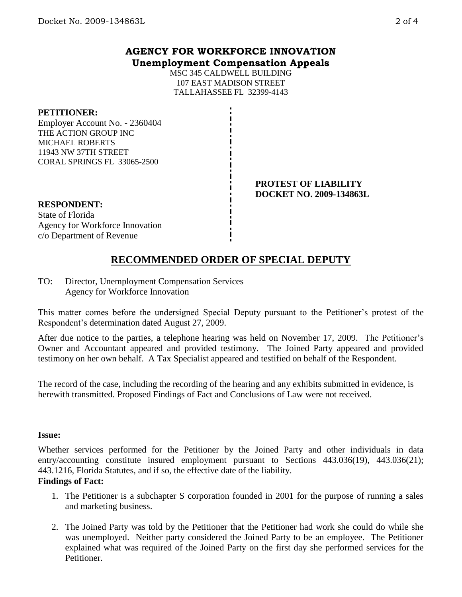# **AGENCY FOR WORKFORCE INNOVATION Unemployment Compensation Appeals**

MSC 345 CALDWELL BUILDING 107 EAST MADISON STREET TALLAHASSEE FL 32399-4143

### **PETITIONER:**

Employer Account No. - 2360404 THE ACTION GROUP INC MICHAEL ROBERTS 11943 NW 37TH STREET CORAL SPRINGS FL 33065-2500

#### **PROTEST OF LIABILITY DOCKET NO. 2009-134863L**

# **RESPONDENT:** State of Florida

Agency for Workforce Innovation c/o Department of Revenue

# **RECOMMENDED ORDER OF SPECIAL DEPUTY**

TO: Director, Unemployment Compensation Services Agency for Workforce Innovation

This matter comes before the undersigned Special Deputy pursuant to the Petitioner's protest of the Respondent's determination dated August 27, 2009.

After due notice to the parties, a telephone hearing was held on November 17, 2009. The Petitioner's Owner and Accountant appeared and provided testimony. The Joined Party appeared and provided testimony on her own behalf. A Tax Specialist appeared and testified on behalf of the Respondent.

The record of the case, including the recording of the hearing and any exhibits submitted in evidence, is herewith transmitted. Proposed Findings of Fact and Conclusions of Law were not received.

### **Issue:**

Whether services performed for the Petitioner by the Joined Party and other individuals in data entry/accounting constitute insured employment pursuant to Sections 443.036(19), 443.036(21); 443.1216, Florida Statutes, and if so, the effective date of the liability.

# **Findings of Fact:**

- 1. The Petitioner is a subchapter S corporation founded in 2001 for the purpose of running a sales and marketing business.
- 2. The Joined Party was told by the Petitioner that the Petitioner had work she could do while she was unemployed. Neither party considered the Joined Party to be an employee. The Petitioner explained what was required of the Joined Party on the first day she performed services for the Petitioner.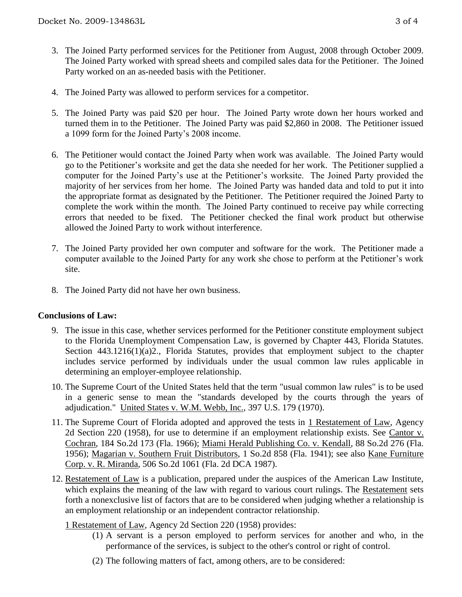- 3. The Joined Party performed services for the Petitioner from August, 2008 through October 2009. The Joined Party worked with spread sheets and compiled sales data for the Petitioner. The Joined Party worked on an as-needed basis with the Petitioner.
- 4. The Joined Party was allowed to perform services for a competitor.
- 5. The Joined Party was paid \$20 per hour. The Joined Party wrote down her hours worked and turned them in to the Petitioner. The Joined Party was paid \$2,860 in 2008. The Petitioner issued a 1099 form for the Joined Party's 2008 income.
- 6. The Petitioner would contact the Joined Party when work was available. The Joined Party would go to the Petitioner's worksite and get the data she needed for her work. The Petitioner supplied a computer for the Joined Party's use at the Petitioner's worksite. The Joined Party provided the majority of her services from her home. The Joined Party was handed data and told to put it into the appropriate format as designated by the Petitioner. The Petitioner required the Joined Party to complete the work within the month. The Joined Party continued to receive pay while correcting errors that needed to be fixed. The Petitioner checked the final work product but otherwise allowed the Joined Party to work without interference.
- 7. The Joined Party provided her own computer and software for the work. The Petitioner made a computer available to the Joined Party for any work she chose to perform at the Petitioner's work site.
- 8. The Joined Party did not have her own business.

### **Conclusions of Law:**

- 9. The issue in this case, whether services performed for the Petitioner constitute employment subject to the Florida Unemployment Compensation Law, is governed by Chapter 443, Florida Statutes. Section 443.1216(1)(a)2., Florida Statutes, provides that employment subject to the chapter includes service performed by individuals under the usual common law rules applicable in determining an employer-employee relationship.
- 10. The Supreme Court of the United States held that the term "usual common law rules" is to be used in a generic sense to mean the "standards developed by the courts through the years of adjudication." United States v. W.M. Webb, Inc., 397 U.S. 179 (1970).
- 11. The Supreme Court of Florida adopted and approved the tests in 1 Restatement of Law, Agency 2d Section 220 (1958), for use to determine if an employment relationship exists. See Cantor v. Cochran, 184 So.2d 173 (Fla. 1966); Miami Herald Publishing Co. v. Kendall, 88 So.2d 276 (Fla. 1956); Magarian v. Southern Fruit Distributors, 1 So.2d 858 (Fla. 1941); see also Kane Furniture Corp. v. R. Miranda, 506 So.2d 1061 (Fla. 2d DCA 1987).
- 12. Restatement of Law is a publication, prepared under the auspices of the American Law Institute, which explains the meaning of the law with regard to various court rulings. The Restatement sets forth a nonexclusive list of factors that are to be considered when judging whether a relationship is an employment relationship or an independent contractor relationship.

### 1 Restatement of Law, Agency 2d Section 220 (1958) provides:

- (1) A servant is a person employed to perform services for another and who, in the performance of the services, is subject to the other's control or right of control.
- (2) The following matters of fact, among others, are to be considered: